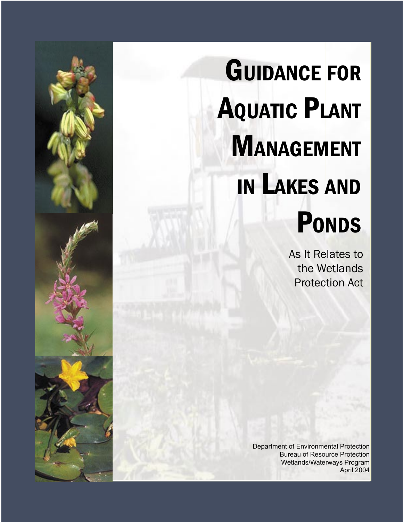GUIDANCE FOR AQUATIC PLANT MANAGEMENT IN LAKES AND PONDS

> As It Relates to the Wetlands Protection Act

Department of Environmental Protection Bureau of Resource Protection Wetlands/Waterways Program April 2004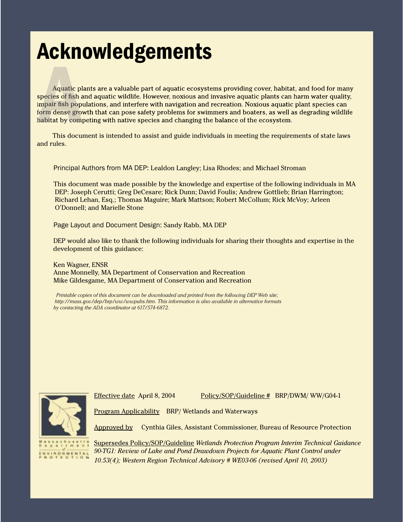# Acknowledgements

Aquatic plants are a valuable part of aquatic ecosystems providing cover, habitat, and food for many species of fish and aquatic wildlife. However, noxious and invasive aquatic plants can harm water quality, impair fish populations, and interfere with navigation and recreation. Noxious aquatic plant species can form dense growth that can pose safety problems for swimmers and boaters, as well as degrading wildlife habitat by competing with native species and changing the balance of the ecosystem. Aquatic p<br>
Aquatic p<br>
pecies of fish<br>
mpair fish pop<br>
orm dense gro<br>
This docu exies of fish and aquatic willdlice. However, monious and invosive aquatic plant species contains and interfere with navigation and recreation. Noxious aquatic plant species contains growth that can pose safety problems fo

This document is intended to assist and guide individuals in meeting the requirements of state laws and rules.

Principal Authors from MA DEP: Lealdon Langley; Lisa Rhodes; and Michael Stroman

This document was made possible by the knowledge and expertise of the following individuals in MA DEP: Joseph Cerutti; Greg DeCesare; Rick Dunn; David Foulis; Andrew Gottlieb; Brian Harrington; Richard Lehan, Esq.; Thomas Maguire; Mark Mattson; Robert McCollum; Rick McVoy; Arleen O'Donnell; and Marielle Stone

Page Layout and Document Design: Sandy Rabb, MA DEP

DEP would also like to thank the following individuals for sharing their thoughts and expertise in the development of this guidance:

Ken Wagner, ENSR Anne Monnelly, MA Department of Conservation and Recreation Mike Gildesgame, MA Department of Conservation and Recreation

 *Printable copies of this document can be downloaded and printed from the following DEP Web site; http://mass.gov/dep/brp/ww/wwpubs.htm. This information is also available in alternative formats by contacting the ADA coordinator at 617/574-6872.*



Program Applicability BRP/ Wetlands and Waterways

Approved by Cynthia Giles, Assistant Commissioner, Bureau of Resource Protection

Supersedes Policy/SOP/Guideline *Wetlands Protection Program Interim Technical Guidance 90-TG1: Review of Lake and Pond Drawdown Projects for Aquatic Plant Control under 10.53(4); Western Region Technical Advisory # WE03-06 (revised April 10, 2003)*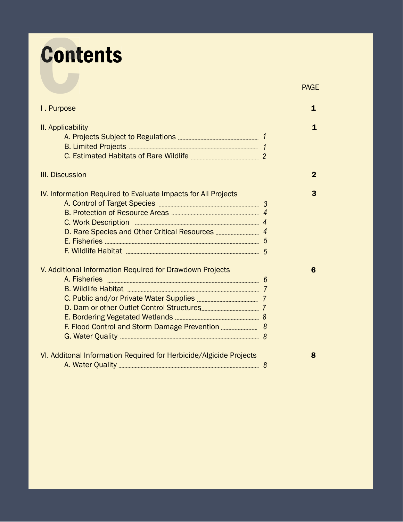# <span id="page-3-0"></span>**[C](#page-5-0)ontents**

| I. Purpose                                                                                                                           | 1              |
|--------------------------------------------------------------------------------------------------------------------------------------|----------------|
| II. Applicability                                                                                                                    | 1              |
| III. Discussion                                                                                                                      | $\overline{2}$ |
| IV. Information Required to Evaluate Impacts for All Projects<br>D. Rare Species and Other Critical Resources ____________________ 4 | $\overline{3}$ |
| V. Additional Information Required for Drawdown Projects<br>F. Flood Control and Storm Damage Prevention _______________ 8           | 6              |
| VI. Additonal Information Required for Herbicide/Algicide Projects                                                                   | 8              |

PAGE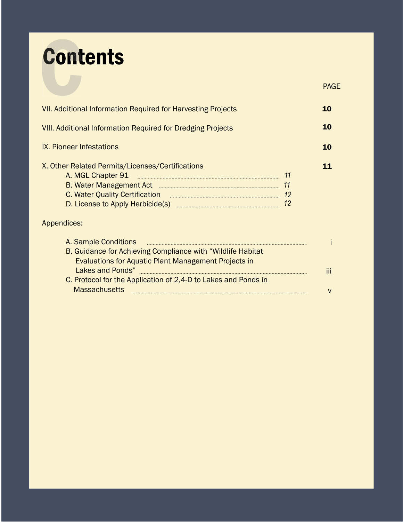# <span id="page-4-0"></span>**Contents**

|          | 10                             |
|----------|--------------------------------|
|          | 10                             |
|          | 10                             |
| 11<br>11 | 11                             |
|          |                                |
|          | $\mathbf{III}$<br>$\mathsf{V}$ |
|          |                                |

PAGE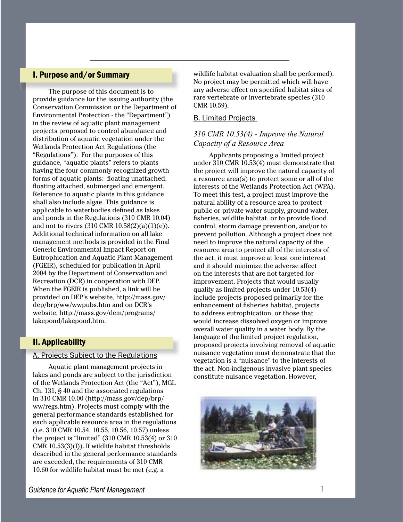## <span id="page-5-0"></span>[I. Purpose and/or Summary](#page-3-0)

The purpose of this document is to provide guidance for the issuing authority (the Conservation Commission or the Department of Environmental Protection - the "Department") in the review of aquatic plant management projects proposed to control abundance and distribution of aquatic vegetation under the Wetlands Protection Act Regulations (the "Regulations"). For the purposes of this guidance, "aquatic plants" refers to plants having the four commonly recognized growth forms of aquatic plants: floating unattached, floating attached, submerged and emergent. Reference to aquatic plants in this guidance shall also include algae. This guidance is applicable to waterbodies defined as lakes and ponds in the Regulations [\(310 CMR 10.04\)](http://mass.gov/dep/brp/ww/files/310cmr10.pdf) and not to rivers  $(310 \text{ CMR } 10.58(2)(a)(1)(e))$ . Additional technical information on all lake management methods is provided in the Final Generic Environmental Impact Report on Eutrophication and Aquatic Plant Management (FGEIR), scheduled for publication in April 2004 by the Department of Conservation and Recreation (DCR) in cooperation with DEP. When the FGEIR is published, a link will be provided on DEP's website, [http://mass.gov/](http://www.mass.gov/dep/brp/ww/wwpubs.htm) [dep/brp/ww/wwpubs.htm a](http://www.mass.gov/dep/brp/ww/wwpubs.htm)nd on DCR's website, [http://mass.gov/dem/programs/](http://www.state.ma.us/dem/programs/lakepond/lakepond.htm) lakepond/lakepond.htm.

## [II. Applicability](#page-3-0)

#### A. Projects Subject to the Regulations

Aquatic plant management projects in lakes and ponds are subject to the jurisdiction of the Wetlands Protection Act (the "Act"), MGL Ch. 131, § 40 and the associated regulations in 310 CMR 10.00 (http://mass.gov/dep/brp/ ww/regs.htm). Projects must comply with the general performance standards established for each applicable resource area in the regulations (i.e. 310 CMR 10.54, 10.55, 10.56, 10.57) unless the project is "limited" (310 CMR 10.53(4) or 310 CMR 10.53(3)(l)). If wildlife habitat thresholds described in the general performance standards are exceeded, the requirements of 310 CMR 10.60 for wildlife habitat must be met (e.g. a

wildlife habitat evaluation shall be performed). No project may be permitted which will have any adverse effect on specified habitat sites of rare vertebrate or invertebrate species (310 CMR 10.59).

#### **B. Limited Projects**

## *[310 CMR 10.53\(4\) - Improve the Natural](http://mass.gov/dep/brp/ww/files/310cmr10.pdf#page=70)  Capacity of a Resource Area*

Applicants proposing a limited project under 310 CMR 10.53(4) must demonstrate that the project will improve the natural capacity of a resource area(s) to protect some or all of the interests of the Wetlands Protection Act (WPA). To meet this test, a project must improve the natural ability of a resource area to protect public or private water supply, ground water, fisheries, wildlife habitat, or to provide flood control, storm damage prevention, and/or to prevent pollution. Although a project does not need to improve the natural capacity of the resource area to protect all of the interests of the act, it must improve at least one interest and it should minimize the adverse affect on the interests that are not targeted for improvement. Projects that would usually qualify as limited projects under 10.53(4) include projects proposed primarily for the enhancement of fisheries habitat, projects to address eutrophication, or those that would increase dissolved oxygen or improve overall water quality in a water body. By the language of the limited project regulation, proposed projects involving removal of aquatic nuisance vegetation must demonstrate that the vegetation is a "nuisance" to the interests of the act. Non-indigenous invasive plant species constitute nuisance vegetation. However,

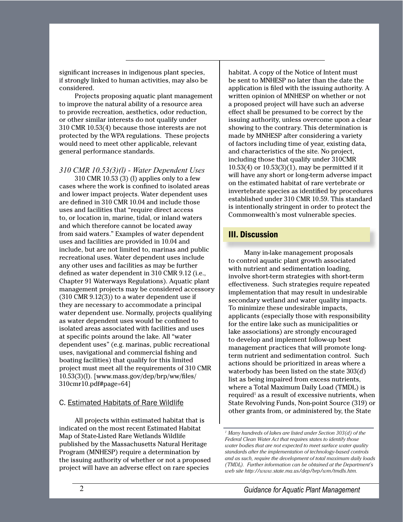<span id="page-6-0"></span>significant increases in indigenous plant species, if strongly linked to human activities, may also be considered.

Projects proposing aquatic plant management to improve the natural ability of a resource area to provide recreation, aesthetics, odor reduction, or other similar interests do not qualify under 310 CMR 10.53(4) because those interests are not protected by the WPA regulations. These projects would need to meet other applicable, relevant general performance standards.

*[310 CMR 10.53\(3\)\(l\) - Water Dependent Uses](http://mass.gov/dep/brp/ww/files/310cmr10.pdf#page=71)*

 $310$  CMR 10.53 (3) (1) applies only to a few cases where the work is confined to isolated areas and lower impact projects. Water dependent uses are defined in 310 CMR 10.04 and include those uses and facilities that "require direct access to, or location in, marine, tidal, or inland waters and which therefore cannot be located away from said waters." Examples of water dependent uses and facilities are provided in 10.04 and include, but are not limited to, marinas and public recreational uses. Water dependent uses include any other uses and facilities as may be further defined as water dependent in 310 CMR 9.12 (i.e., Chapter 91 Waterways Regulations). Aquatic plant management projects may be considered accessory  $(310 \text{ CMR } 9.12(3))$  to a water dependent use if they are necessary to accommodate a principal water dependent use. Normally, projects qualifying as water dependent uses would be confined to isolated areas associated with facilities and uses at specific points around the lake. All "water dependent uses" (e.g. marinas, public recreational uses, navigational and commercial fishing and boating facilities) that qualify for this limited project must meet all the requirements of 310 CMR  $10.53(3)(l)$ . [www.mass.gov/dep/brp/ww/files/ 310cmr10.pdf#page=64]

#### C. Estimated Habitats of Rare Wildlife

All projects within estimated habitat that is indicated on the most recent Estimated Habitat Map of State-Listed Rare Wetlands Wildlife published by the Massachusetts Natural Heritage Program (MNHESP) require a determination by the issuing authority of whether or not a proposed project will have an adverse effect on rare species

habitat. A copy of the Notice of Intent must be sent to MNHESP no later than the date the application is filed with the issuing authority.  $A$ written opinion of MNHESP on whether or not a proposed project will have such an adverse effect shall be presumed to be correct by the issuing authority, unless overcome upon a clear showing to the contrary. This determination is made by MNHESP after considering a variety of factors including time of year, existing data, and characteristics of the site. No project, including those that qualify under 310CMR 10.53(4) or 10.53(3)(1), may be permitted if it will have any short or long-term adverse impact on the estimated habitat of rare vertebrate or invertebrate species as identified by procedures established under 310 CMR 10.59. This standard is intentionally stringent in order to protect the Commonwealth's most vulnerable species.

## [III. Discussion](#page-3-0)

Many in-lake management proposals to control aquatic plant growth associated with nutrient and sedimentation loading, involve short-term strategies with short-term effectiveness. Such strategies require repeated implementation that may result in undesirable secondary wetland and water quality impacts. To minimize these undesirable impacts, applicants (especially those with responsibility for the entire lake such as municipalities or lake associations) are strongly encouraged to develop and implement follow-up best management practices that will promote longterm nutrient and sedimentation control. Such actions should be prioritized in areas where a waterbody has been listed on the state 303(d) list as being impaired from excess nutrients, where a Total Maximum Daily Load (TMDL) is required<sup>1</sup> as a result of excessive nutrients, when State Revolving Funds, Non-point Source (319) or other grants from, or administered by, the State

*<sup>1</sup> Many hundreds of lakes are listed under Section 303(d) of the Federal Clean Water Act that requires states to identify those water bodies that are not expected to meet surface water quality standards after the implementation of technology-based controls and as such, require the development of total maximum daily loads (TMDL). Further information can be obtained at the Department's web site http://www.state.ma.us/dep/brp/wm/tmdls.htm.*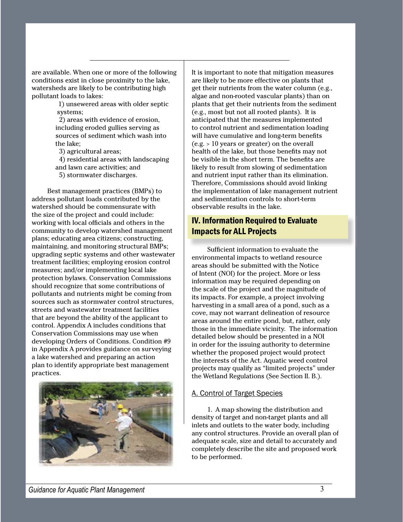<span id="page-7-0"></span>are available. When one or more of the following conditions exist in close proximity to the lake, watersheds are likely to be contributing high pollutant loads to lakes:

> 1) unsewered areas with older septic systems;

2) areas with evidence of erosion, including eroded gullies serving as sources of sediment which wash into the lake;

3) agricultural areas;

4) residential areas with landscaping and lawn care activities; and

5) stormwater discharges.

Best management practices (BMPs) to address pollutant loads contributed by the watershed should be commensurate with the size of the project and could include: working with local officials and others in the community to develop watershed management plans; educating area citizens; constructing, maintaining, and monitoring structural BMPs; upgrading septic systems and other wastewater treatment facilities; employing erosion control measures; and/or implementing local lake protection bylaws. Conservation Commissions should recognize that some contributions of pollutants and nutrients might be coming from sources such as stormwater control structures, streets and wastewater treatment facilities that are beyond the ability of the applicant to control. Appendix A includes conditions that Conservation Commissions may use when developing Orders of Conditions. Condition #9 in Appendix A provides guidance on surveying a lake watershed and preparing an action plan to identify appropriate best management practices.



It is important to note that mitigation measures are likely to be more effective on plants that get their nutrients from the water column (e.g., algae and non-rooted vascular plants) than on plants that get their nutrients from the sediment (e.g., most but not all rooted plants). It is anticipated that the measures implemented to control nutrient and sedimentation loading will have cumulative and long-term benefits (e.g. > 10 years or greater) on the overall health of the lake, but those benefits may not be visible in the short term. The benefits are likely to result from slowing of sedimentation and nutrient input rather than its elimination. Therefore, Commissions should avoid linking the implementation of lake management nutrient and sedimentation controls to short-term observable results in the lake.

# [IV. Information Required to Evaluate](#page-3-0)  Impacts for ALL Projects

Sufficient information to evaluate the environmental impacts to wetland resource areas should be submitted with the Notice of Intent (NOI) for the project. More or less information may be required depending on the scale of the project and the magnitude of its impacts. For example, a project involving harvesting in a small area of a pond, such as a cove, may not warrant delineation of resource areas around the entire pond, but, rather, only those in the immediate vicinity. The information detailed below should be presented in a NOI in order for the issuing authority to determine whether the proposed project would protect the interests of the Act. Aquatic weed control projects may qualify as "limited projects" under the Wetland Regulations (See Section II. B.).

#### A. Control of Target Species

1. A map showing the distribution and density of target and non-target plants and all inlets and outlets to the water body, including any control structures. Provide an overall plan of adequate scale, size and detail to accurately and completely describe the site and proposed work to be performed.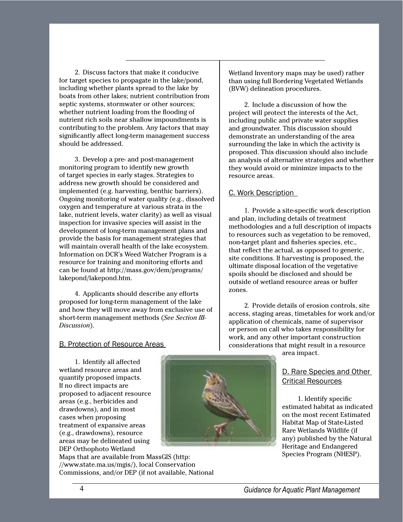2. Discuss factors that make it conducive for target species to propagate in the lake/pond, including whether plants spread to the lake by boats from other lakes; nutrient contribution from septic systems, stormwater or other sources; whether nutrient loading from the flooding of nutrient rich soils near shallow impoundments is contributing to the problem. Any factors that may significantly affect long-term management success should be addressed.

3. Develop a pre- and post-management monitoring program to identify new growth of target species in early stages. Strategies to address new growth should be considered and implemented (e.g. harvesting, benthic barriers). Ongoing monitoring of water quality (e.g., dissolved oxygen and temperature at various strata in the lake, nutrient levels, water clarity) as well as visual inspection for invasive species will assist in the development of long-term management plans and provide the basis for management strategies that will maintain overall health of the lake ecosystem. Information on DCR's Weed Watcher Program is a resource for training and monitoring efforts and can be found at [http://mass.gov/dem/programs/](http://mass.gov/dem/programs/lakepond/lakepond.htm) lakepond/lakepond.htm.

4. Applicants should describe any efforts proposed for long-term management of the lake and how they will move away from exclusive use of short-term management methods (*See Section III-Discussion*).

#### B. Protection of Resource Areas

1. Identify all affected wetland resource areas and quantify proposed impacts. If no direct impacts are proposed to adjacent resource areas (e.g., herbicides and drawdowns), and in most cases when proposing treatment of expansive areas (e.g., drawdowns), resource areas may be delineated using DEP Orthophoto Wetland

Maps that are available from MassGIS (http: [//www.state.ma.us/mgis/\),](http://mass.gov/mgis/) local Conservation Commissions, and/or DEP (if not available, National

Wetland Inventory maps may be used) rather than using full Bordering Vegetated Wetlands (BVW) delineation procedures.

2. Include a discussion of how the project will protect the interests of the Act, including public and private water supplies and groundwater. This discussion should demonstrate an understanding of the area surrounding the lake in which the activity is proposed. This discussion should also include an analysis of alternative strategies and whether they would avoid or minimize impacts to the resource areas.

#### C. Work Description

1. Provide a site-specific work description and plan, including details of treatment methodologies and a full description of impacts to resources such as vegetation to be removed, non-target plant and fisheries species, etc., that reflect the actual, as opposed to generic, site conditions. If harvesting is proposed, the ultimate disposal location of the vegetative spoils should be disclosed and should be outside of wetland resource areas or buffer zones.

2. Provide details of erosion controls, site access, staging areas, timetables for work and/or application of chemicals, name of supervisor or person on call who takes responsibility for work, and any other important construction considerations that might result in a resource

area impact.

## D. Rare Species and Other Critical Resources

1. Identify specific estimated habitat as indicated on the most recent Estimated Habitat Map of State-Listed Rare Wetlands Wildlife (if any) published by the Natural Heritage and Endangered [Species Program \(NHESP\).](http://www.state.ma.us/dfwele/dfw/nhesp/nhesp.htm) 

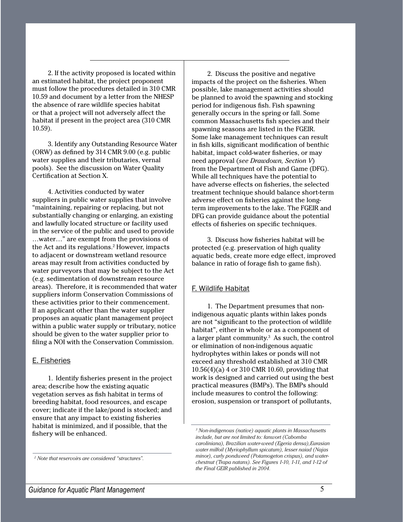2. If the activity proposed is located within an estimated habitat, the project proponent must follow the procedures detailed in 310 CMR 10.59 and document by a letter from the NHESP the absence of rare wildlife species habitat or that a project will not adversely affect the habitat if present in the project area (310 CMR 10.59).

3. Identify any Outstanding Resource Water (ORW) as defined by [314 CMR 9.00 \(](http://www.mass.gov/dep/bwp/iww/files/314009.pdf)e.g. public water supplies and their tributaries, vernal pools). See the discussion on Water Quality Certification at Section X.

4. Activities conducted by water suppliers in public water supplies that involve "maintaining, repairing or replacing, but not substantially changing or enlarging, an existing and lawfully located structure or facility used in the service of the public and used to provide …water…" are exempt from the provisions of the Act and its regulations.<sup>2</sup> However, impacts to adjacent or downstream wetland resource areas may result from activities conducted by water purveyors that may be subject to the Act (e.g. sedimentation of downstream resource areas). Therefore, it is recommended that water suppliers inform Conservation Commissions of these activities prior to their commencement. If an applicant other than the water supplier proposes an aquatic plant management project within a public water supply or tributary, notice should be given to the water supplier prior to filing a NOI with the Conservation Commission.

#### E. Fisheries

1. Identify fisheries present in the project area; describe how the existing aquatic vegetation serves as fish habitat in terms of breeding habitat, food resources, and escape cover; indicate if the lake/pond is stocked; and ensure that any impact to existing fisheries habitat is minimized, and if possible, that the fishery will be enhanced.

2. Discuss the positive and negative impacts of the project on the fisheries. When possible, lake management activities should be planned to avoid the spawning and stocking period for indigenous fish. Fish spawning generally occurs in the spring or fall. Some common Massachusetts fish species and their spawning seasons are listed in the FGEIR. Some lake management techniques can result in fish kills, significant modification of benthic habitat, impact cold-water fisheries, or may need approval (*see Drawdown, Section V*) from the [Department of Fish and Game \(DFG\).](http://www.state.ma.us/dfwele/dpt_toc.htm)  While all techniques have the potential to have adverse effects on fisheries, the selected treatment technique should balance short-term adverse effect on fisheries against the longterm improvements to the lake. The FGEIR and DFG can provide guidance about the potential effects of fisheries on specific techniques.

3. Discuss how fisheries habitat will be protected (e.g. preservation of high quality aquatic beds, create more edge effect, improved balance in ratio of forage fish to game fish).

#### F. Wildlife Habitat

1. The Department presumes that nonindigenous aquatic plants within lakes ponds are not "significant to the protection of wildlife habitat", either in whole or as a component of a larger plant community.<sup>3</sup> As such, the control or elimination of non-indigenous aquatic hydrophytes within lakes or ponds will not exceed any threshold established at 310 CMR 10.56(4)(a) 4 or 310 CMR 10.60, providing that work is designed and carried out using the best practical measures (BMPs). The BMPs should include measures to control the following: erosion, suspension or transport of pollutants,

*<sup>2</sup> Note that reservoirs are considered "structures".*

*<sup>3</sup> Non-indigenous (native) aquatic plants in Massachusetts include, but are not limited to: fanwort (Cabomba caroliniana), Brazilian water-weed (Egeria densa),Eurasian water milfoil (Myriophyllum spicatum), lesser naiad (Najas minor), curly pondweed (Potamogeton crispus), and waterchestnut (Trapa natans). See Figures 1-10, 1-11, and 1-12 of the Final GEIR published in 2004.*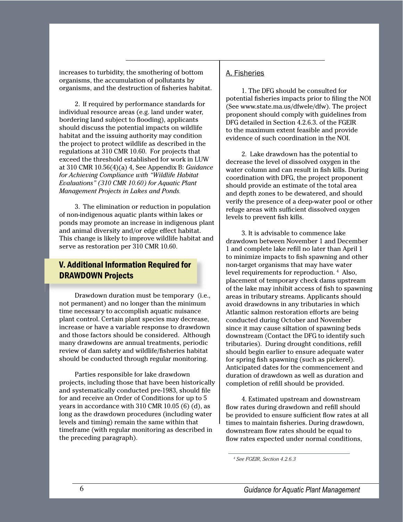<span id="page-10-0"></span>increases to turbidity, the smothering of bottom organisms, the accumulation of pollutants by organisms, and the destruction of fisheries habitat.

2. If required by performance standards for individual resource areas (e.g. land under water, bordering land subject to flooding), applicants should discuss the potential impacts on wildlife habitat and the issuing authority may condition the project to protect wildlife as described in the regulations at 310 CMR 10.60. For projects that exceed the threshold established for work in LUW at 310 CMR 10.56(4)(a) 4, See Appendix B: *Guidance for Achieving Compliance with "Wildlife Habitat Evaluations" (310 CMR 10.60) for Aquatic Plant Management Projects in Lakes and Ponds.*

3. The elimination or reduction in population of non-indigenous aquatic plants within lakes or ponds may promote an increase in indigenous plant and animal diversity and/or edge effect habitat. This change is likely to improve wildlife habitat and serve as restoration per 310 CMR 10.60.

# [V. Additional Information Required for](#page-4-0)  DRAWDOWN Projects

Drawdown duration must be temporary (i.e., not permanent) and no longer than the minimum time necessary to accomplish aquatic nuisance plant control. Certain plant species may decrease, increase or have a variable response to drawdown and those factors should be considered. Although many drawdowns are annual treatments, periodic review of dam safety and wildlife/fisheries habitat should be conducted through regular monitoring.

Parties responsible for lake drawdown projects, including those that have been historically and systematically conducted pre-1983, should file for and receive an Order of Conditions for up to 5 years in accordance with 310 CMR 10.05 (6) (d), as long as the drawdown procedures (including water levels and timing) remain the same within that timeframe (with regular monitoring as described in the preceding paragraph).

### A. Fisheries

1. The DFG should be consulted for potential fisheries impacts prior to filing the NOI (See www.state.ma.us/dfwele/dfw). The project proponent should comply with guidelines from DFG detailed in Section 4.2.6.3. of the FGEIR to the maximum extent feasible and provide evidence of such coordination in the NOI.

2. Lake drawdown has the potential to decrease the level of dissolved oxygen in the water column and can result in fish kills. During coordination with DFG, the project proponent should provide an estimate of the total area and depth zones to be dewatered, and should verify the presence of a deep-water pool or other refuge areas with sufficient dissolved oxygen levels to prevent fish kills.

3. It is advisable to commence lake drawdown between November 1 and December 1 and complete lake refill no later than April 1 to minimize impacts to fish spawning and other non-target organisms that may have water level requirements for reproduction. 4 Also, placement of temporary check dams upstream of the lake may inhibit access of fish to spawning areas in tributary streams. Applicants should avoid drawdowns in any tributaries in which Atlantic salmon restoration efforts are being conducted during October and November since it may cause siltation of spawning beds downstream (Contact the DFG to identify such tributaries). During drought conditions, refill should begin earlier to ensure adequate water for spring fish spawning (such as pickerel). Anticipated dates for the commencement and duration of drawdown as well as duration and completion of refill should be provided.

4. Estimated upstream and downstream flow rates during drawdown and refill should be provided to ensure sufficient flow rates at all times to maintain fisheries. During drawdown, downstream flow rates should be equal to flow rates expected under normal conditions,

*4 See FGEIR, Section 4.2.6.3*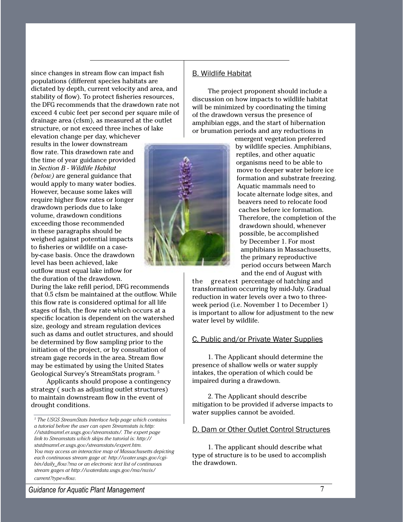since changes in stream flow can impact fish populations (different species habitats are dictated by depth, current velocity and area, and stability of flow). To protect fisheries resources, the DFG recommends that the drawdown rate not exceed 4 cubic feet per second per square mile of drainage area (cfsm), as measured at the outlet structure, or not exceed three inches of lake elevation change per day, whichever

results in the lower downstream flow rate. This drawdown rate and the time of year guidance provided in *Section B - Wildlife Habitat (below)* are general guidance that would apply to many water bodies. However, because some lakes will require higher flow rates or longer drawdown periods due to lake volume, drawdown conditions exceeding those recommended in these paragraphs should be weighed against potential impacts to fisheries or wildlife on a caseby-case basis. Once the drawdown level has been achieved, lake outflow must equal lake inflow for the duration of the drawdown.

During the lake refill period, DFG recommends that 0.5 cfsm be maintained at the outflow. While this flow rate is considered optimal for all life stages of fish, the flow rate which occurs at a specific location is dependent on the watershed size, geology and stream regulation devices such as dams and outlet structures, and should be determined by flow sampling prior to the initiation of the project, or by consultation of stream gage records in the area. Stream flow may be estimated by using the United States Geological Survey's StreamStats program. 5

Applicants should propose a contingency strategy ( such as adjusting outlet structures) to maintain downstream flow in the event of drought conditions.

#### B. Wildlife Habitat

The project proponent should include a discussion on how impacts to wildlife habitat will be minimized by coordinating the timing of the drawdown versus the presence of amphibian eggs, and the start of hibernation or brumation periods and any reductions in



emergent vegetation preferred by wildlife species. Amphibians, reptiles, and other aquatic organisms need to be able to move to deeper water before ice formation and substrate freezing. Aquatic mammals need to locate alternate lodge sites, and beavers need to relocate food caches before ice formation. Therefore, the completion of the drawdown should, whenever possible, be accomplished by December 1. For most amphibians in Massachusetts, the primary reproductive period occurs between March and the end of August with

the greatest percentage of hatching and transformation occurring by mid-July. Gradual reduction in water levels over a two to threeweek period (i.e. November 1 to December 1) is important to allow for adjustment to the new water level by wildlife.

#### C. Public and/or Private Water Supplies

1. The Applicant should determine the presence of shallow wells or water supply intakes, the operation of which could be impaired during a drawdown.

2. The Applicant should describe mitigation to be provided if adverse impacts to water supplies cannot be avoided.

#### D. Dam or Other Outlet Control Structures

1. The applicant should describe what type of structure is to be used to accomplish the drawdown.

*<sup>5</sup> The USGS StreamStats Interface help page which contains a tutorial before the user can open Streamstats is:http: [//ststdmamrl.er.usgs.gov/streamstats/. T](http://ststdmamrl.er.usgs.gov/streamstats/)he expert page link to Streamstats which skips the tutorial is: http:// [ststdmamrl.er.usgs.gov/streamstats/expert.htm.](http://ststdmamrl.er.usgs.gov/streamstats/expert.htm) You may access an interactive map of Massachusetts depicting each continuous stream gage at: [http://water.usgs.gov/cgi](http://water.usgs.gov/cgi-bin/daily_flow?ma)bin/daily\_flow?ma or an electronic text list of continuous stream gages at [http://waterdata.usgs.gov/ma/nwis/](http://waterdata.usgs.gov/ma/nwis/current?type=flow) current?type=flow.*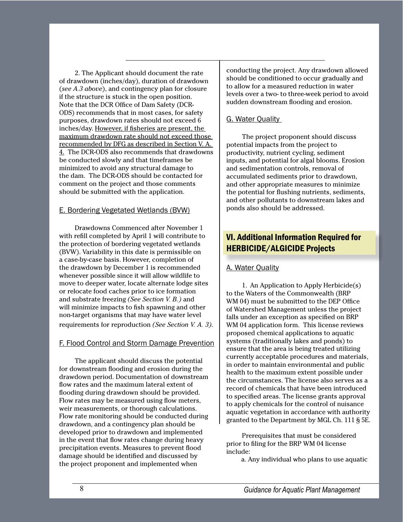<span id="page-12-0"></span>2. The Applicant should document the rate of drawdown (inches/day), duration of drawdown (*see A.3 above*), and contingency plan for closure if the structure is stuck in the open position. Note that the DCR Office of Dam Safety (DCR-ODS) recommends that in most cases, for safety purposes, drawdown rates should not exceed 6 inches/day. However, if fisheries are present, the maximum drawdown rate should not exceed those recommended by DFG as described in Section V. A. 4. The DCR-ODS also recommends that drawdowns be conducted slowly and that timeframes be minimized to avoid any structural damage to the dam. The DCR-ODS should be contacted for comment on the project and those comments should be submitted with the application.

#### E. Bordering Vegetated Wetlands (BVW)

Drawdowns Commenced after November 1 with refill completed by April 1 will contribute to the protection of bordering vegetated wetlands (BVW). Variability in this date is permissible on a case-by-case basis. However, completion of the drawdown by December 1 is recommended whenever possible since it will allow wildlife to move to deeper water, locate alternate lodge sites or relocate food caches prior to ice formation and substrate freezing *(See Section V. B.)* and will minimize impacts to fish spawning and other non-target organisms that may have water level requirements for reproduction *(See Section V. A. 3)*.

#### F. Flood Control and Storm Damage Prevention

The applicant should discuss the potential for downstream flooding and erosion during the drawdown period. Documentation of downstream flow rates and the maximum lateral extent of flooding during drawdown should be provided. Flow rates may be measured using flow meters, weir measurements, or thorough calculations. Flow rate monitoring should be conducted during drawdown, and a contingency plan should be developed prior to drawdown and implemented in the event that flow rates change during heavy precipitation events. Measures to prevent flood damage should be identified and discussed by the project proponent and implemented when

conducting the project. Any drawdown allowed should be conditioned to occur gradually and to allow for a measured reduction in water levels over a two- to three-week period to avoid sudden downstream flooding and erosion.

#### G. Water Quality

The project proponent should discuss potential impacts from the project to productivity, nutrient cycling, sediment inputs, and potential for algal blooms. Erosion and sedimentation controls, removal of accumulated sediments prior to drawdown, and other appropriate measures to minimize the potential for flushing nutrients, sediments, and other pollutants to downstream lakes and ponds also should be addressed.

# [VI. Additional Information Required for](#page-4-0)  HERBICIDE/ALGICIDE Projects

#### A. Water Quality

1. An Application to Apply Herbicide(s) to the Waters of the Commonwealth (BRP [WM 04\)](http://www.mass.gov/dep/brp/ww/wwforms.htm) must be submitted to the DEP Office of Watershed Management unless the project falls under an exception as specified on BRP WM 04 application form. This license reviews proposed chemical applications to aquatic systems (traditionally lakes and ponds) to ensure that the area is being treated utilizing currently acceptable procedures and materials, in order to maintain environmental and public health to the maximum extent possible under the circumstances. The license also serves as a record of chemicals that have been introduced to specified areas. The license grants approval to apply chemicals for the control of nuisance aquatic vegetation in accordance with authority granted to the Department by [MGL Ch. 111 § 5E.](http://www.state.ma.us/legis/laws/mgl/111-5E.htm)

Prerequisites that must be considered prior to filing for the BRP WM 04 license include:

a. Any individual who plans to use aquatic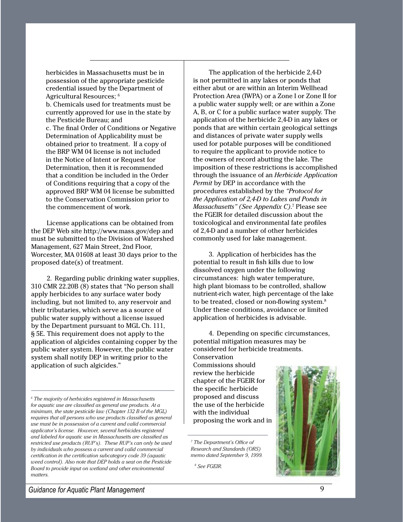herbicides in Massachusetts must be in possession of the appropriate pesticide credential issued by the Department of Agricultural Resources; 6 b. Chemicals used for treatments must be currently approved for use in the state by the Pesticide Bureau; and c. The final Order of Conditions or Negative Determination of Applicability must be obtained prior to treatment. If a copy of the BRP WM 04 license is not included in the Notice of Intent or Request for Determination, then it is recommended that a condition be included in the Order of Conditions requiring that a copy of the approved BRP WM 04 license be submitted to the Conservation Commission prior to the commencement of work.

License applications can be obtained from the DEP Web sit[e http://www.mass.gov/dep a](http://www.mass.gov/dep/brp/ww/wwforms.htm)nd must be submitted to the Division of Watershed Management, 627 Main Street, 2nd Floor, Worcester, MA 01608 at least 30 days prior to the proposed date(s) of treatment.

2. Regarding public drinking water supplies, [310 CMR 22.20B \(8\)](http://www.mass.gov/dep/brp/dws/files/310cmr22.pdf) states that "No person shall apply herbicides to any surface water body including, but not limited to, any reservoir and their tributaries, which serve as a source of public water supply without a license issued by the Department pursuant to MGL Ch. 111, § 5E. This requirement does not apply to the application of algicides containing copper by the public water system. However, the public water system shall notify DEP in writing prior to the application of such algicides."

*6 The majority of herbicides registered in Massachusetts for aquatic use are classified as general use products. At a minimum, the state pesticide law (Chapter 132 B of the MGL) requires that all persons who use products classified as general use must be in possession of a current and valid commercial applicator's license. However, several herbicides registered and labeled for aquatic use in Massachusetts are classified as restricted use products (RUP's). These RUP's can only be used by individuals who possess a current and valid commercial certification in the certification subcategory code 39 (aquatic weed control). Also note that DEP holds a seat on the Pesticide Board to provide input on wetland and other environmental matters.*

The application of the herbicide 2,4-D is not permitted in any lakes or ponds that either abut or are within an Interim Wellhead Protection Area (IWPA) or a Zone I or Zone II for a public water supply well; or are within a Zone A, B, or C for a public surface water supply. The application of the herbicide 2,4-D in any lakes or ponds that are within certain geological settings and distances of private water supply wells used for potable purposes will be conditioned to require the applicant to provide notice to the owners of record abutting the lake. The imposition of these restrictions is accomplished through the issuance of an *Herbicide Application Permit* by DEP in accordance with the procedures established by the *"Protocol for the Application of 2,4-D to Lakes and Ponds in Massachusetts" (See Appendix C)*. 7 Please see the FGEIR for detailed discussion about the toxicological and environmental fate profiles of 2,4-D and a number of other herbicides commonly used for lake management.

3. Application of herbicides has the potential to result in fish kills due to low dissolved oxygen under the following circumstances: high water temperature, high plant biomass to be controlled, shallow nutrient-rich water, high percentage of the lake to be treated, closed or non-flowing system.<sup>8</sup> Under these conditions, avoidance or limited application of herbicides is advisable.

4. Depending on specific circumstances, potential mitigation measures may be considered for herbicide treatments. Conservation

Commissions should review the herbicide chapter of the FGEIR for the specific herbicide proposed and discuss the use of the herbicide with the individual proposing the work and in

 *8 See FGEIR.*



*<sup>7</sup> The Department's Office of Research and Standards (ORS) memo dated September 9, 1999.*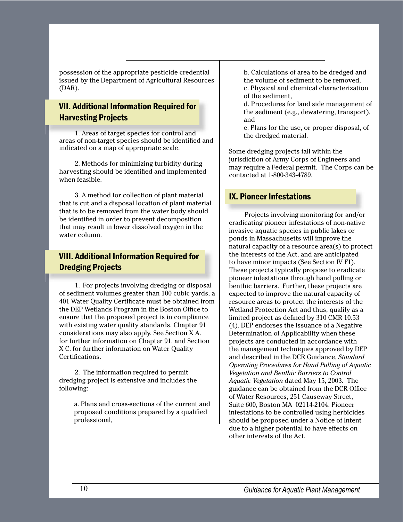<span id="page-14-0"></span>possession of the appropriate pesticide credential issued by the [Department of Agricultural Resources](http://www.state.ma.us/dfa/)  (DAR).

# [VII. Additional Information Required for](#page-4-0)  Harvesting Projects

1. Areas of target species for control and areas of non-target species should be identified and indicated on a map of appropriate scale.

2. Methods for minimizing turbidity during harvesting should be identified and implemented when feasible.

3. A method for collection of plant material that is cut and a disposal location of plant material that is to be removed from the water body should be identified in order to prevent decomposition that may result in lower dissolved oxygen in the water column.

## [VIII. Additional Information Required for](#page-4-0)  Dredging Projects

1. For projects involving dredging or disposal of sediment volumes greater than 100 cubic yards, a 401 Water Quality Certificate must be obtained from the DEP Wetlands Program in the Boston Office to ensure that the proposed project is in compliance with existing water quality standards. Chapter 91 considerations may also apply. See Section X A. for further information on Chapter 91, and Section X C. for further information on Water Quality Certifications.

2. The information required to permit dredging project is extensive and includes the following:

> a. Plans and cross-sections of the current and proposed conditions prepared by a qualified professional,

b. Calculations of area to be dredged and the volume of sediment to be removed, c. Physical and chemical characterization of the sediment,

d. Procedures for land side management of the sediment (e.g., dewatering, transport), and

e. Plans for the use, or proper disposal, of the dredged material.

Some dredging projects fall within the jurisdiction of [Army Corps of Engineers](http://www.usace.army.mil/) and may require a Federal permit. The Corps can be contacted at 1-800-343-4789.

## [IX. Pioneer Infestations](#page-4-0)

Projects involving monitoring for and/or eradicating pioneer infestations of non-native invasive aquatic species in public lakes or ponds in Massachusetts will improve the natural capacity of a resource area(s) to protect the interests of the Act, and are anticipated to have minor impacts (See Section IV F1). These projects typically propose to eradicate pioneer infestations through hand pulling or benthic barriers. Further, these projects are expected to improve the natural capacity of resource areas to protect the interests of the Wetland Protection Act and thus, qualify as a limited project as defined by 310 CMR 10.53 (4). DEP endorses the issuance of a Negative Determination of Applicability when these projects are conducted in accordance with the management techniques approved by DEP and described in the DCR Guidance, *Standard Operating Procedures for Hand Pulling of Aquatic Vegetation and Benthic Barriers to Control Aquatic Vegetation* dated May 15, 2003. The guidance can be obtained from the DCR Office of Water Resources, 251 Causeway Street, Suite 600, Boston MA 02114-2104. Pioneer infestations to be controlled using herbicides should be proposed under a Notice of Intent due to a higher potential to have effects on other interests of the Act.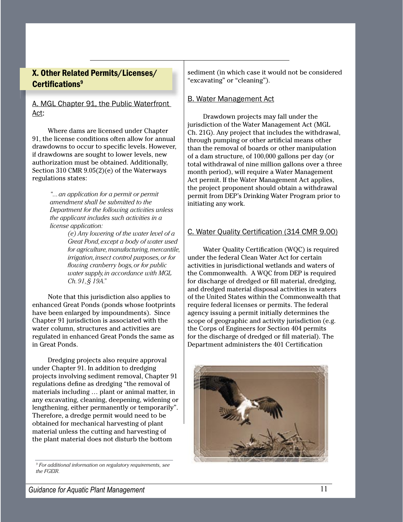## <span id="page-15-0"></span>[X. Other Related Permits/Licenses/](#page-4-0) **Certifications<sup>9</sup>**

#### A. MGL Chapter 91, the Public Waterfront Act:

Where dams are licensed under Chapter 91, the license conditions often allow for annual drawdowns to occur to specific levels. However, if drawdowns are sought to lower levels, new authorization must be obtained. Additionally, Section 310 CMR 9.05(2)(e) of the Waterways regulations states:

> *"... an application for a permit or permit amendment shall be submitted to the Department for the following activities unless the applicant includes such activities in a license application:*

> > *(e) Any lowering of the water level of a Great Pond, except a body of water used for agriculture, manufacturing, mercantile, irrigation, insect control purposes, or for fl owing cranberry bogs, or for public water supply, in accordance with MGL Ch. 91, § 19A."*

Note that this jurisdiction also applies to enhanced Great Ponds (ponds whose footprints have been enlarged by impoundments). Since Chapter 91 jurisdiction is associated with the water column, structures and activities are regulated in enhanced Great Ponds the same as in Great Ponds.

Dredging projects also require approval under Chapter 91. In addition to dredging projects involving sediment removal, Chapter 91 regulations define as dredging "the removal of materials including … plant or animal matter, in any excavating, cleaning, deepening, widening or lengthening, either permanently or temporarily". Therefore, a dredge permit would need to be obtained for mechanical harvesting of plant material unless the cutting and harvesting of the plant material does not disturb the bottom

*9 For additional information on regulatory requirements, see the FGEIR.*

sediment (in which case it would not be considered "excavating" or "cleaning").

#### [B. Water Management Act](http://www.state.ma.us/legis/laws/mgl/gl-21G-toc.htm)

Drawdown projects may fall under the jurisdiction of the Water Management Act (MGL Ch. 21G). Any project that includes the withdrawal, through pumping or other artificial means other than the removal of boards or other manipulation of a dam structure, of 100,000 gallons per day (or total withdrawal of nine million gallons over a three month period), will require a Water Management Act permit. If the Water Management Act applies, the project proponent should obtain a withdrawal permit from DEP's [Drinking Water Program](http://www.mass.gov/dep/brp/dws/dwspubs.htm) prior to initiating any work.

## C. Water Quality Certification (314 CMR 9.00)

Water Quality Certification (WQC) is required under the federal Clean Water Act for certain activities in jurisdictional wetlands and waters of the Commonwealth. A WQC from DEP is required for discharge of dredged or fill material, dredging, and dredged material disposal activities in waters of the United States within the Commonwealth that require federal licenses or permits. The federal agency issuing a permit initially determines the scope of geographic and activity jurisdiction (e.g. the Corps of Engineers for Section 404 permits for the discharge of dredged or fill material). The Department administers the 401 Certification

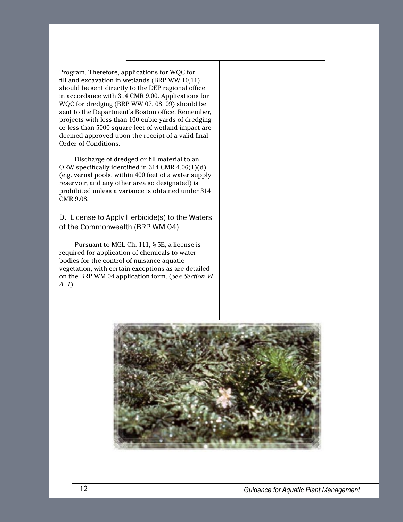Program. Therefore, applications for WQC for fill and excavation in wetlands [\(BRP WW 10,11\)](http://www.mass.gov/dep/brp/ww/wwforms.htm)  should be sent directly to the DEP regional office in accordance with 314 CMR 9.00. Applications for WQC for dredging (BRP WW 07, 08, 09) should be sent to the Department's Boston office. Remember, projects with less than 100 cubic yards of dredging or less than 5000 square feet of wetland impact are deemed approved upon the receipt of a valid final Order of Conditions.

Discharge of dredged or fill material to an ORW specifically identified i[n 314 CMR 4.06\(1\)\(d\)](http://www.mass.gov/dep/bwp/iww/files/314004.pdf)  (e.g. vernal pools, within 400 feet of a water supply reservoir, and any other area so designated) is prohibited unless a variance is obtained under 314 CMR 9.08.

#### D. License to Apply Herbicide(s) to the Waters of the Commonwealth (BRP WM 04)

Pursuant to MGL Ch. 111, § 5E, a license is required for application of chemicals to water bodies for the control of nuisance aquatic vegetation, with certain exceptions as are detailed on the BRP WM 04 application form. (*See Section VI. A. 1*)

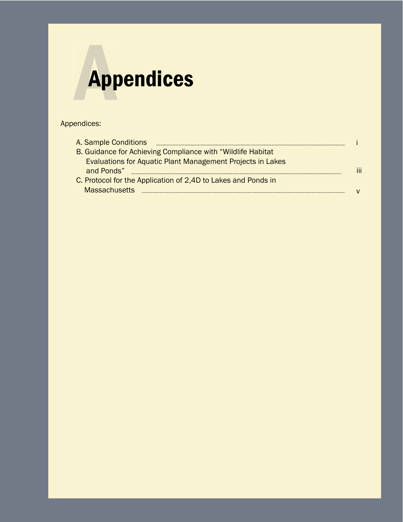<span id="page-18-0"></span>

## [Appendices:](#page-4-0)

| A. Sample Conditions                                                            |  |
|---------------------------------------------------------------------------------|--|
| B. Guidance for Achieving Compliance with "Wildlife Habitat"                    |  |
| <b>Evaluations for Aquatic Plant Management Projects in Lakes</b><br>and Ponds" |  |
| C. Protocol for the Application of 2,4D to Lakes and Ponds in                   |  |
| <b>Massachusetts</b>                                                            |  |

14 *Guidance for Aquatic Plant Management Guidance for Aquatic Plant Management* i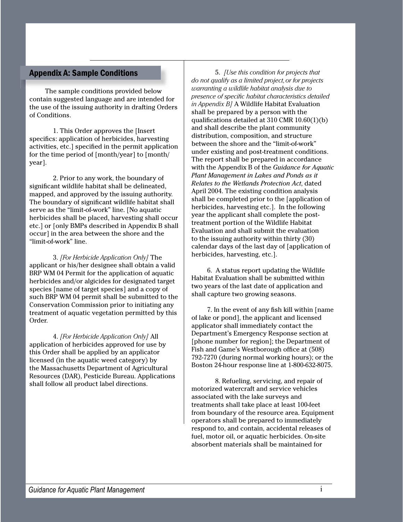## <span id="page-19-0"></span>[Appendix A: Sample Conditions](#page-18-0)

The sample conditions provided below contain suggested language and are intended for the use of the issuing authority in drafting Orders of Conditions.

1. This Order approves the [Insert specifics: application of herbicides, harvesting activities, etc.] specified in the permit application for the time period of [month/year] to [month/ year].

2. Prior to any work, the boundary of significant wildlife habitat shall be delineated. mapped, and approved by the issuing authority. The boundary of significant wildlife habitat shall serve as the "limit-of-work" line. [No aquatic herbicides shall be placed, harvesting shall occur etc.] or [only BMPs described in Appendix B shall occur] in the area between the shore and the "limit-of-work" line.

3. *[For Herbicide Application Only]* The applicant or his/her designee shall obtain a valid BRP WM 04 Permit for the application of aquatic herbicides and/or algicides for designated target species [name of target species] and a copy of such BRP WM 04 permit shall be submitted to the Conservation Commission prior to initiating any treatment of aquatic vegetation permitted by this Order.

4. *[For Herbicide Application Only]* All application of herbicides approved for use by this Order shall be applied by an applicator licensed (in the aquatic weed category) by the Massachusetts Department of Agricultural Resources (DAR), Pesticide Bureau. Applications shall follow all product label directions.

5. *[Use this condition for projects that do not qualify as a limited project, or for projects warranting a wildlife habitat analysis due to presence of specific habitat characteristics detailed in Appendix B]* A Wildlife Habitat Evaluation shall be prepared by a person with the qualifications detailed at  $310$  CMR  $10.60(1)(b)$ and shall describe the plant community distribution, composition, and structure between the shore and the "limit-of-work" under existing and post-treatment conditions. The report shall be prepared in accordance with the Appendix B of the *Guidance for Aquatic Plant Management in Lakes and Ponds as it Relates to the Wetlands Protection Act*, dated April 2004. The existing condition analysis shall be completed prior to the [application of herbicides, harvesting etc.]. In the following year the applicant shall complete the posttreatment portion of the Wildlife Habitat Evaluation and shall submit the evaluation to the issuing authority within thirty (30) calendar days of the last day of [application of herbicides, harvesting, etc.].

6. A status report updating the Wildlife Habitat Evaluation shall be submitted within two years of the last date of application and shall capture two growing seasons.

7. In the event of any fish kill within [name] of lake or pond], the applicant and licensed applicator shall immediately contact the Department's Emergency Response section at [phone number for region]; the Department of Fish and Game's Westborough office at (508) 792-7270 (during normal working hours); or the Boston 24-hour response line at 1-800-632-8075.

8. Refueling, servicing, and repair of motorized watercraft and service vehicles associated with the lake surveys and treatments shall take place at least 100-feet from boundary of the resource area. Equipment operators shall be prepared to immediately respond to, and contain, accidental releases of fuel, motor oil, or aquatic herbicides. On-site absorbent materials shall be maintained for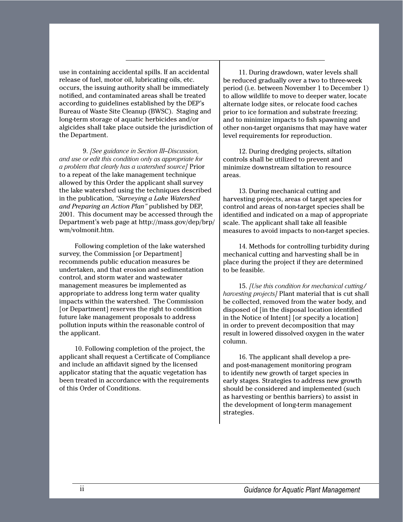use in containing accidental spills. If an accidental release of fuel, motor oil, lubricating oils, etc. occurs, the issuing authority shall be immediately notified, and contaminated areas shall be treated according to guidelines established by the DEP's Bureau of Waste Site Cleanup (BWSC). Staging and long-term storage of aquatic herbicides and/or algicides shall take place outside the jurisdiction of the Department.

9. *[See guidance in Section III–Discussion, and use or edit this condition only as appropriate for a problem that clearly has a watershed source]* Prior to a repeat of the lake management technique allowed by this Order the applicant shall survey the lake watershed using the techniques described in the publication, *"Surveying a Lake Watershed and Preparing an Action Plan"* published by DEP, 2001. This document may be accessed through the Department's web page a[t http://mass.gov/dep/brp/](http://mass.gov/dep/brp/wm/volmonit.htm) wm/volmonit.htm.

Following completion of the lake watershed survey, the Commission [or Department] recommends public education measures be undertaken, and that erosion and sedimentation control, and storm water and wastewater management measures be implemented as appropriate to address long term water quality impacts within the watershed. The Commission [or Department] reserves the right to condition future lake management proposals to address pollution inputs within the reasonable control of the applicant.

10. Following completion of the project, the applicant shall request a Certificate of Compliance and include an affidavit signed by the licensed applicator stating that the aquatic vegetation has been treated in accordance with the requirements of this Order of Conditions.

11. During drawdown, water levels shall be reduced gradually over a two to three-week period (i.e. between November 1 to December 1) to allow wildlife to move to deeper water, locate alternate lodge sites, or relocate food caches prior to ice formation and substrate freezing; and to minimize impacts to fish spawning and other non-target organisms that may have water level requirements for reproduction.

12. During dredging projects, siltation controls shall be utilized to prevent and minimize downstream siltation to resource areas.

13. During mechanical cutting and harvesting projects, areas of target species for control and areas of non-target species shall be identified and indicated on a map of appropriate scale. The applicant shall take all feasible measures to avoid impacts to non-target species.

14. Methods for controlling turbidity during mechanical cutting and harvesting shall be in place during the project if they are determined to be feasible.

15. *[Use this condition for mechanical cutting/ harvesting projects]* Plant material that is cut shall be collected, removed from the water body, and disposed of [in the disposal location identified in the Notice of Intent] [or specify a location] in order to prevent decomposition that may result in lowered dissolved oxygen in the water column.

16. The applicant shall develop a preand post-management monitoring program to identify new growth of target species in early stages. Strategies to address new growth should be considered and implemented (such as harvesting or benthis barriers) to assist in the development of long-term management strategies.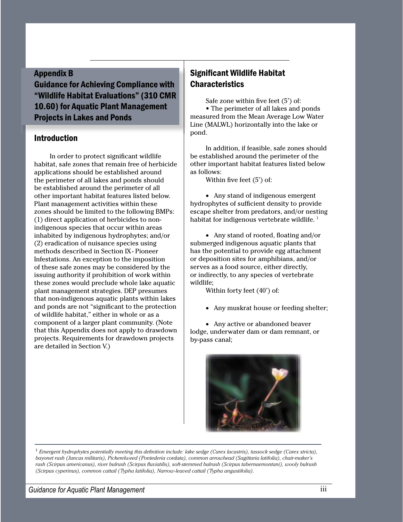#### <span id="page-21-0"></span>Appendix B

Guidance for Achieving Compliance with ["Wildlife Habitat Evaluations" \(310 CMR](#page-18-0)  10.60) for Aquatic Plant Management Projects in Lakes and Ponds

## Introduction

In order to protect significant wildlife habitat, safe zones that remain free of herbicide applications should be established around the perimeter of all lakes and ponds should be established around the perimeter of all other important habitat features listed below. Plant management activities within these zones should be limited to the following BMPs: (1) direct application of herbicides to nonindigenous species that occur within areas inhabited by indigenous hydrophytes; and/or (2) eradication of nuisance species using methods described in Section IX - Pioneer Infestations. An exception to the imposition of these safe zones may be considered by the issuing authority if prohibition of work within these zones would preclude whole lake aquatic plant management strategies. DEP presumes that non-indigenous aquatic plants within lakes and ponds are not "significant to the protection of wildlife habitat," either in whole or as a component of a larger plant community. (Note that this Appendix does not apply to drawdown projects. Requirements for drawdown projects are detailed in Section V.)

# **Significant Wildlife Habitat Characteristics**

Safe zone within five feet  $(5')$  of:

• The perimeter of all lakes and ponds measured from the Mean Average Low Water Line (MALWL) horizontally into the lake or pond.

In addition, if feasible, safe zones should be established around the perimeter of the other important habitat features listed below as follows:

Within five feet  $(5')$  of:

• Any stand of indigenous emergent hydrophytes of sufficient density to provide escape shelter from predators, and/or nesting habitat for indigenous vertebrate wildlife.  $1$ 

• Any stand of rooted, floating and/or submerged indigenous aquatic plants that has the potential to provide egg attachment or deposition sites for amphibians, and/or serves as a food source, either directly, or indirectly, to any species of vertebrate wildlife;

Within forty feet (40') of:

• Any muskrat house or feeding shelter;

• Any active or abandoned beaver lodge, underwater dam or dam remnant, or by-pass canal;



 $^1$  Emergent hydrophytes potentially meeting this definition include: lake sedge (Carex lacustris), tussock sedge (Carex stricta), *bayonet rush (Juncus militaris), Pickerelweed (Pontederia cordata), common arrowhead (Sagittaria latifolia), chair-maker's*  rush (Scirpus americanus), river bulrush (Scirpus fluviatilis), soft-stemmed bulrush (Scirpus tabernaemontani), wooly bulrush *(Scirpus cyperinus), common cattail (Typha latifolia), Narrow-leaved cattail (Typha angustifolia).*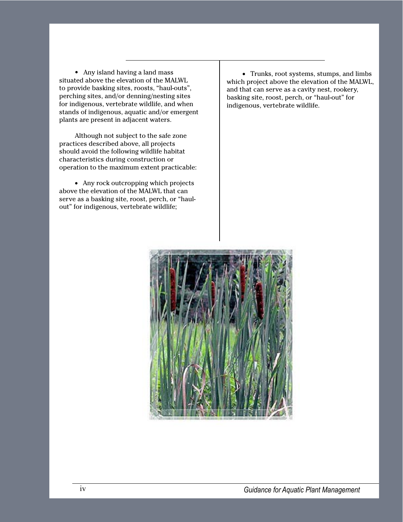• Any island having a land mass situated above the elevation of the MALWL to provide basking sites, roosts, "haul-outs", perching sites, and/or denning/nesting sites for indigenous, vertebrate wildlife, and when stands of indigenous, aquatic and/or emergent plants are present in adjacent waters.

Although not subject to the safe zone practices described above, all projects should avoid the following wildlife habitat characteristics during construction or operation to the maximum extent practicable:

• Any rock outcropping which projects above the elevation of the MALWL that can serve as a basking site, roost, perch, or "haulout" for indigenous, vertebrate wildlife;

• Trunks, root systems, stumps, and limbs which project above the elevation of the MALWL, and that can serve as a cavity nest, rookery, basking site, roost, perch, or "haul-out" for indigenous, vertebrate wildlife.

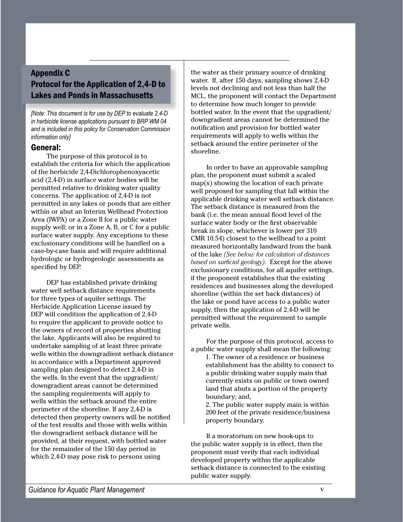# <span id="page-23-0"></span>Appendix C [Protocol for the Application of 2,4-D to](#page-18-0)  Lakes and Ponds in Massachusetts

*[Note: This document is for use by DEP to evaluate 2,4-D in herbicide license applications pursuant to BRP WM 04 and is included in this policy for Conservation Commission information only]*

#### General:

The purpose of this protocol is to establish the criteria for which the application of the herbicide 2,4-Dichlorophenoxyacetic acid (2,4-D) in surface water bodies will be permitted relative to drinking water quality concerns. The application of 2,4-D is not permitted in any lakes or ponds that are either within or abut an Interim Wellhead Protection Area (IWPA) or a Zone II for a public water supply well; or in a Zone A, B, or C for a public surface water supply. Any exceptions to these exclusionary conditions will be handled on a case-by-case basis and will require additional hydrologic or hydrogeologic assessments as specified by DEP.

DEP has established private drinking water well setback distance requirements for three types of aquifer settings. The Herbicide Application License issued by DEP will condition the application of 2,4-D to require the applicant to provide notice to the owners of record of properties abutting the lake. Applicants will also be required to undertake sampling of at least three private wells within the downgradient setback distance in accordance with a Department approved sampling plan designed to detect 2,4-D in the wells. In the event that the upgradient/ downgradient areas cannot be determined the sampling requirements will apply to wells within the setback around the entire perimeter of the shoreline. If any 2,4-D is detected then property owners will be notified of the test results and those with wells within the downgradient setback distance will be provided, at their request, with bottled water for the remainder of the 150 day period in which 2,4-D may pose risk to persons using

the water as their primary source of drinking water. If, after 150 days, sampling shows 2,4-D levels not declining and not less than half the MCL, the proponent will contact the Department to determine how much longer to provide bottled water. In the event that the upgradient/ downgradient areas cannot be determined the notification and provision for bottled water requirements will apply to wells within the setback around the entire perimeter of the shoreline.

In order to have an approvable sampling plan, the proponent must submit a scaled map(s) showing the location of each private well proposed for sampling that fall within the applicable drinking water well setback distance. The setback distance is measured from the bank (i.e. the mean annual flood level of the surface water body or the first observable break in slope, whichever is lower per 310 CMR 10.54) closest to the wellhead to a point measured horizontally landward from the bank of the lake *(See below for calculation of distances based on surficial geology*). Except for the above exclusionary conditions, for all aquifer settings, if the proponent establishes that the existing residences and businesses along the developed shoreline (within the set back distances) of the lake or pond have access to a public water supply, then the application of 2,4-D will be permitted without the requirement to sample private wells.

For the purpose of this protocol, access to a public water supply shall mean the following:

1. The owner of a residence or business establishment has the ability to connect to a public drinking water supply main that currently exists on public or town owned land that abuts a portion of the property boundary; and,

2. The public water supply main is within 200 feet of the private residence/business property boundary.

If a moratorium on new hook-ups to the public water supply is in effect, then the proponent must verify that each individual developed property within the applicable setback distance is connected to the existing public water supply.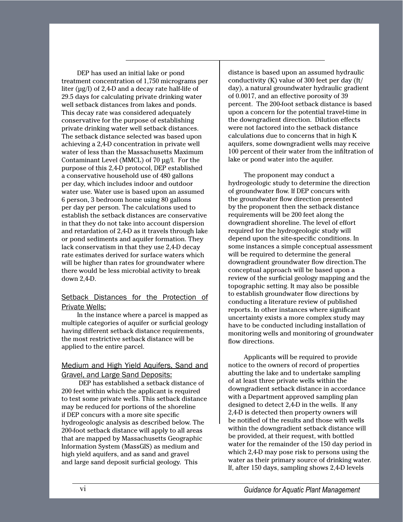DEP has used an initial lake or pond treatment concentration of 1,750 micrograms per liter (µg/l) of 2,4-D and a decay rate half-life of 29.5 days for calculating private drinking water well setback distances from lakes and ponds. This decay rate was considered adequately conservative for the purpose of establishing private drinking water well setback distances. The setback distance selected was based upon achieving a 2,4-D concentration in private well water of less than the Massachusetts Maximum Contaminant Level (MMCL) of 70 µg/l. For the purpose of this 2,4-D protocol, DEP established a conservative household use of 480 gallons per day, which includes indoor and outdoor water use. Water use is based upon an assumed 6 person, 3 bedroom home using 80 gallons per day per person. The calculations used to establish the setback distances are conservative in that they do not take into account dispersion and retardation of 2,4-D as it travels through lake or pond sediments and aquifer formation. They lack conservatism in that they use 2,4-D decay rate estimates derived for surface waters which will be higher than rates for groundwater where there would be less microbial activity to break down 2,4-D.

#### Setback Distances for the Protection of Private Wells:

In the instance where a parcel is mapped as multiple categories of aquifer or surficial geology having different setback distance requirements, the most restrictive setback distance will be applied to the entire parcel.

#### Medium and High Yield Aquifers, Sand and Gravel, and Large Sand Deposits:

 DEP has established a setback distance of 200 feet within which the applicant is required to test some private wells. This setback distance may be reduced for portions of the shoreline if DEP concurs with a more site specific hydrogeologic analysis as described below. The 200-foot setback distance will apply to all areas that are mapped by Massachusetts Geographic Information System (MassGIS) as medium and high yield aquifers, and as sand and gravel and large sand deposit surficial geology. This

distance is based upon an assumed hydraulic conductivity (K) value of 300 feet per day (ft/ day), a natural groundwater hydraulic gradient of 0.0017, and an effective porosity of 39 percent. The 200-foot setback distance is based upon a concern for the potential travel-time in the downgradient direction. Dilution effects were not factored into the setback distance calculations due to concerns that in high K aquifers, some downgradient wells may receive 100 percent of their water from the infiltration of lake or pond water into the aquifer.

The proponent may conduct a hydrogeologic study to determine the direction of groundwater flow. If DEP concurs with the groundwater flow direction presented by the proponent then the setback distance requirements will be 200 feet along the downgradient shoreline. The level of effort required for the hydrogeologic study will depend upon the site-specific conditions. In some instances a simple conceptual assessment will be required to determine the general downgradient groundwater flow direction.The conceptual approach will be based upon a review of the surficial geology mapping and the topographic setting. It may also be possible to establish groundwater flow directions by conducting a literature review of published reports. In other instances where significant uncertainty exists a more complex study may have to be conducted including installation of monitoring wells and monitoring of groundwater flow directions.

Applicants will be required to provide notice to the owners of record of properties abutting the lake and to undertake sampling of at least three private wells within the downgradient setback distance in accordance with a Department approved sampling plan designed to detect 2,4-D in the wells. If any 2,4-D is detected then property owners will be notified of the results and those with wells within the downgradient setback distance will be provided, at their request, with bottled water for the remainder of the 150 day period in which 2,4-D may pose risk to persons using the water as their primary source of drinking water. If, after 150 days, sampling shows 2,4-D levels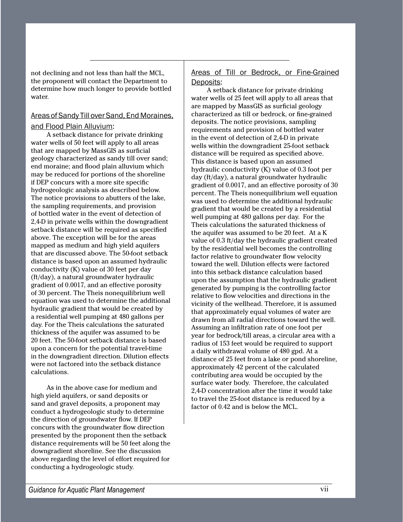not declining and not less than half the MCL, the proponent will contact the Department to determine how much longer to provide bottled water.

# Areas of Sandy Till over Sand, End Moraines,

#### and Flood Plain Alluvium:

A setback distance for private drinking water wells of 50 feet will apply to all areas that are mapped by MassGIS as surficial geology characterized as sandy till over sand; end moraine; and flood plain alluvium which may be reduced for portions of the shoreline if DEP concurs with a more site specific hydrogeologic analysis as described below. The notice provisions to abutters of the lake, the sampling requirements, and provision of bottled water in the event of detection of 2,4-D in private wells within the downgradient setback distance will be required as specified above. The exception will be for the areas mapped as medium and high yield aquifers that are discussed above. The 50-foot setback distance is based upon an assumed hydraulic conductivity (K) value of 30 feet per day (ft/day), a natural groundwater hydraulic gradient of 0.0017, and an effective porosity of 30 percent. The Theis nonequilibrium well equation was used to determine the additional hydraulic gradient that would be created by a residential well pumping at 480 gallons per day. For the Theis calculations the saturated thickness of the aquifer was assumed to be 20 feet. The 50-foot setback distance is based upon a concern for the potential travel-time in the downgradient direction. Dilution effects were not factored into the setback distance calculations.

As in the above case for medium and high yield aquifers, or sand deposits or sand and gravel deposits, a proponent may conduct a hydrogeologic study to determine the direction of groundwater flow. If DEP concurs with the groundwater flow direction presented by the proponent then the setback distance requirements will be 50 feet along the downgradient shoreline. See the discussion above regarding the level of effort required for conducting a hydrogeologic study.

## Areas of Till or Bedrock, or Fine-Grained Deposits:

A setback distance for private drinking water wells of 25 feet will apply to all areas that are mapped by MassGIS as surficial geology characterized as till or bedrock, or fine-grained deposits. The notice provisions, sampling requirements and provision of bottled water in the event of detection of 2,4-D in private wells within the downgradient 25-foot setback distance will be required as specified above. This distance is based upon an assumed hydraulic conductivity (K) value of 0.3 foot per day (ft/day), a natural groundwater hydraulic gradient of 0.0017, and an effective porosity of 30 percent. The Theis nonequilibrium well equation was used to determine the additional hydraulic gradient that would be created by a residential well pumping at 480 gallons per day. For the Theis calculations the saturated thickness of the aquifer was assumed to be 20 feet. At a K value of 0.3 ft/day the hydraulic gradient created by the residential well becomes the controlling factor relative to groundwater flow velocity toward the well. Dilution effects were factored into this setback distance calculation based upon the assumption that the hydraulic gradient generated by pumping is the controlling factor relative to flow velocities and directions in the vicinity of the wellhead. Therefore, it is assumed that approximately equal volumes of water are drawn from all radial directions toward the well. Assuming an infiltration rate of one foot per year for bedrock/till areas, a circular area with a radius of 153 feet would be required to support a daily withdrawal volume of 480 gpd. At a distance of 25 feet from a lake or pond shoreline, approximately 42 percent of the calculated contributing area would be occupied by the surface water body. Therefore, the calculated 2,4-D concentration after the time it would take to travel the 25-foot distance is reduced by a factor of 0.42 and is below the MCL.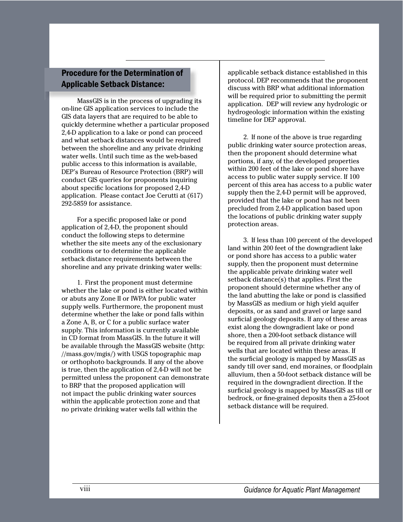## Procedure for the Determination of Applicable Setback Distance:

MassGIS is in the process of upgrading its on-line GIS application services to include the GIS data layers that are required to be able to quickly determine whether a particular proposed 2,4-D application to a lake or pond can proceed and what setback distances would be required between the shoreline and any private drinking water wells. Until such time as the web-based public access to this information is available, DEP's Bureau of Resource Protection (BRP) will conduct GIS queries for proponents inquiring about specific locations for proposed 2,4-D application. Please contact Joe Cerutti at (617) 292-5859 for assistance.

For a specific proposed lake or pond application of 2,4-D, the proponent should conduct the following steps to determine whether the site meets any of the exclusionary conditions or to determine the applicable setback distance requirements between the shoreline and any private drinking water wells:

1. First the proponent must determine whether the lake or pond is either located within or abuts any Zone II or IWPA for public water supply wells. Furthermore, the proponent must determine whether the lake or pond falls within a Zone A, B, or C for a public surface water supply. This information is currently available in CD format from MassGIS. In the future it will be available through the MassGIS website (http: //mass.gov/mgis/) with USGS topographic map or orthophoto backgrounds. If any of the above is true, then the application of 2,4-D will not be permitted unless the proponent can demonstrate to BRP that the proposed application will not impact the public drinking water sources within the applicable protection zone and that no private drinking water wells fall within the

applicable setback distance established in this protocol. DEP recommends that the proponent discuss with BRP what additional information will be required prior to submitting the permit application. DEP will review any hydrologic or hydrogeologic information within the existing timeline for DEP approval.

2. If none of the above is true regarding public drinking water source protection areas, then the proponent should determine what portions, if any, of the developed properties within 200 feet of the lake or pond shore have access to public water supply service. If 100 percent of this area has access to a public water supply then the 2,4-D permit will be approved, provided that the lake or pond has not been precluded from 2,4-D application based upon the locations of public drinking water supply protection areas.

3. If less than 100 percent of the developed land within 200 feet of the downgradient lake or pond shore has access to a public water supply, then the proponent must determine the applicable private drinking water well setback distance(s) that applies. First the proponent should determine whether any of the land abutting the lake or pond is classified by MassGIS as medium or high yield aquifer deposits, or as sand and gravel or large sand surficial geology deposits. If any of these areas exist along the downgradient lake or pond shore, then a 200-foot setback distance will be required from all private drinking water wells that are located within these areas. If the surficial geology is mapped by MassGIS as sandy till over sand, end moraines, or floodplain alluvium, then a 50-foot setback distance will be required in the downgradient direction. If the surficial geology is mapped by MassGIS as till or bedrock, or fine-grained deposits then a 25-foot setback distance will be required.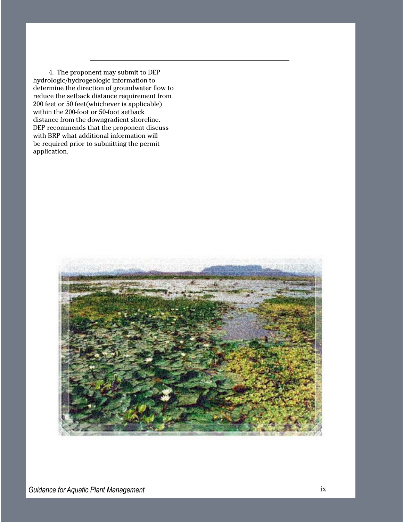4. The proponent may submit to DEP hydrologic/hydrogeologic information to determine the direction of groundwater flow to reduce the setback distance requirement from 200 feet or 50 feet(whichever is applicable) within the 200-foot or 50-foot setback distance from the downgradient shoreline. DEP recommends that the proponent discuss with BRP what additional information will be required prior to submitting the permit application.